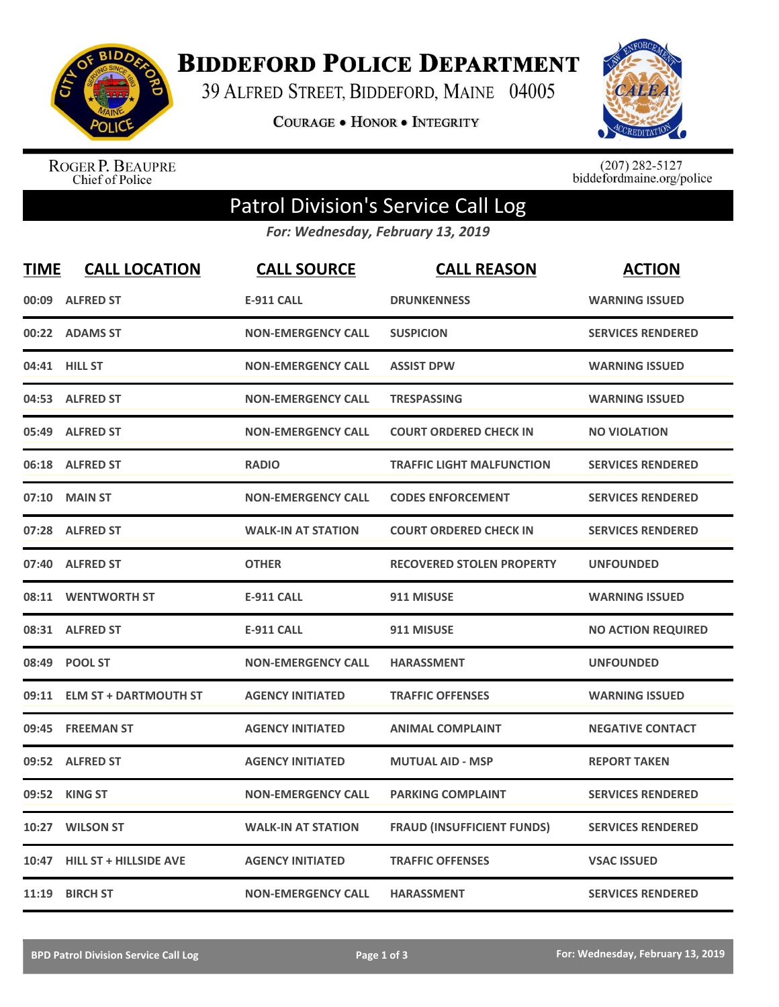

**BIDDEFORD POLICE DEPARTMENT** 

39 ALFRED STREET, BIDDEFORD, MAINE 04005

**COURAGE . HONOR . INTEGRITY** 



ROGER P. BEAUPRE<br>Chief of Police

 $(207)$  282-5127<br>biddefordmaine.org/police

## Patrol Division's Service Call Log

*For: Wednesday, February 13, 2019*

| <b>TIME</b> | <b>CALL LOCATION</b>          | <b>CALL SOURCE</b>        | <b>CALL REASON</b>                | <b>ACTION</b>             |
|-------------|-------------------------------|---------------------------|-----------------------------------|---------------------------|
|             | 00:09 ALFRED ST               | <b>E-911 CALL</b>         | <b>DRUNKENNESS</b>                | <b>WARNING ISSUED</b>     |
|             | 00:22 ADAMS ST                | <b>NON-EMERGENCY CALL</b> | <b>SUSPICION</b>                  | <b>SERVICES RENDERED</b>  |
|             | 04:41 HILL ST                 | <b>NON-EMERGENCY CALL</b> | <b>ASSIST DPW</b>                 | <b>WARNING ISSUED</b>     |
|             | 04:53 ALFRED ST               | <b>NON-EMERGENCY CALL</b> | <b>TRESPASSING</b>                | <b>WARNING ISSUED</b>     |
| 05:49       | <b>ALFRED ST</b>              | <b>NON-EMERGENCY CALL</b> | <b>COURT ORDERED CHECK IN</b>     | <b>NO VIOLATION</b>       |
|             | 06:18 ALFRED ST               | <b>RADIO</b>              | <b>TRAFFIC LIGHT MALFUNCTION</b>  | <b>SERVICES RENDERED</b>  |
| 07:10       | <b>MAIN ST</b>                | <b>NON-EMERGENCY CALL</b> | <b>CODES ENFORCEMENT</b>          | <b>SERVICES RENDERED</b>  |
| 07:28       | <b>ALFRED ST</b>              | <b>WALK-IN AT STATION</b> | <b>COURT ORDERED CHECK IN</b>     | <b>SERVICES RENDERED</b>  |
| 07:40       | <b>ALFRED ST</b>              | <b>OTHER</b>              | <b>RECOVERED STOLEN PROPERTY</b>  | <b>UNFOUNDED</b>          |
|             | 08:11 WENTWORTH ST            | <b>E-911 CALL</b>         | 911 MISUSE                        | <b>WARNING ISSUED</b>     |
|             | 08:31 ALFRED ST               | <b>E-911 CALL</b>         | 911 MISUSE                        | <b>NO ACTION REQUIRED</b> |
| 08:49       | <b>POOL ST</b>                | <b>NON-EMERGENCY CALL</b> | <b>HARASSMENT</b>                 | <b>UNFOUNDED</b>          |
| 09:11       | <b>ELM ST + DARTMOUTH ST</b>  | <b>AGENCY INITIATED</b>   | <b>TRAFFIC OFFENSES</b>           | <b>WARNING ISSUED</b>     |
| 09:45       | <b>FREEMAN ST</b>             | <b>AGENCY INITIATED</b>   | <b>ANIMAL COMPLAINT</b>           | <b>NEGATIVE CONTACT</b>   |
|             | 09:52 ALFRED ST               | <b>AGENCY INITIATED</b>   | <b>MUTUAL AID - MSP</b>           | <b>REPORT TAKEN</b>       |
| 09:52       | <b>KING ST</b>                | <b>NON-EMERGENCY CALL</b> | <b>PARKING COMPLAINT</b>          | <b>SERVICES RENDERED</b>  |
| 10:27       | <b>WILSON ST</b>              | <b>WALK-IN AT STATION</b> | <b>FRAUD (INSUFFICIENT FUNDS)</b> | <b>SERVICES RENDERED</b>  |
| 10:47       | <b>HILL ST + HILLSIDE AVE</b> | <b>AGENCY INITIATED</b>   | <b>TRAFFIC OFFENSES</b>           | <b>VSAC ISSUED</b>        |
| 11:19       | <b>BIRCH ST</b>               | <b>NON-EMERGENCY CALL</b> | <b>HARASSMENT</b>                 | <b>SERVICES RENDERED</b>  |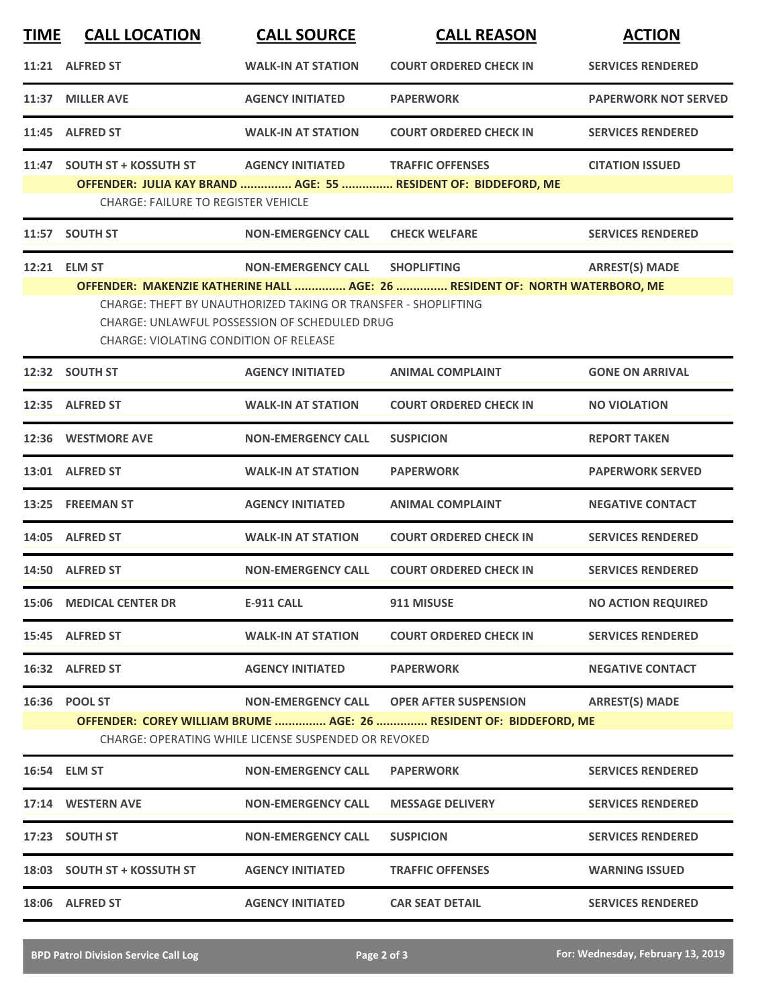| <u>TIME</u> | <b>CALL LOCATION</b>                                                                                                                                                                                                                                                                                                                         | <b>CALL SOURCE</b>                                                                | <b>CALL REASON</b>                                                                                 | <b>ACTION</b>               |  |  |
|-------------|----------------------------------------------------------------------------------------------------------------------------------------------------------------------------------------------------------------------------------------------------------------------------------------------------------------------------------------------|-----------------------------------------------------------------------------------|----------------------------------------------------------------------------------------------------|-----------------------------|--|--|
|             | 11:21 ALFRED ST                                                                                                                                                                                                                                                                                                                              | <b>WALK-IN AT STATION</b>                                                         | <b>COURT ORDERED CHECK IN</b>                                                                      | <b>SERVICES RENDERED</b>    |  |  |
| 11:37       | <b>MILLER AVE</b>                                                                                                                                                                                                                                                                                                                            | <b>AGENCY INITIATED</b>                                                           | <b>PAPERWORK</b>                                                                                   | <b>PAPERWORK NOT SERVED</b> |  |  |
|             | 11:45 ALFRED ST                                                                                                                                                                                                                                                                                                                              | <b>WALK-IN AT STATION</b>                                                         | <b>COURT ORDERED CHECK IN</b>                                                                      | <b>SERVICES RENDERED</b>    |  |  |
| 11:47       | <b>SOUTH ST + KOSSUTH ST</b><br><b>CHARGE: FAILURE TO REGISTER VEHICLE</b>                                                                                                                                                                                                                                                                   | <b>AGENCY INITIATED</b>                                                           | <b>TRAFFIC OFFENSES</b><br>OFFENDER: JULIA KAY BRAND  AGE: 55  RESIDENT OF: BIDDEFORD, ME          | <b>CITATION ISSUED</b>      |  |  |
| 11:57       | <b>SOUTH ST</b>                                                                                                                                                                                                                                                                                                                              | <b>NON-EMERGENCY CALL</b>                                                         | <b>CHECK WELFARE</b>                                                                               | <b>SERVICES RENDERED</b>    |  |  |
|             | 12:21 ELM ST<br><b>NON-EMERGENCY CALL</b><br><b>SHOPLIFTING</b><br><b>ARREST(S) MADE</b><br>OFFENDER: MAKENZIE KATHERINE HALL  AGE: 26  RESIDENT OF: NORTH WATERBORO, ME<br>CHARGE: THEFT BY UNAUTHORIZED TAKING OR TRANSFER - SHOPLIFTING<br>CHARGE: UNLAWFUL POSSESSION OF SCHEDULED DRUG<br><b>CHARGE: VIOLATING CONDITION OF RELEASE</b> |                                                                                   |                                                                                                    |                             |  |  |
|             | 12:32 SOUTH ST                                                                                                                                                                                                                                                                                                                               | <b>AGENCY INITIATED</b>                                                           | <b>ANIMAL COMPLAINT</b>                                                                            | <b>GONE ON ARRIVAL</b>      |  |  |
|             | 12:35 ALFRED ST                                                                                                                                                                                                                                                                                                                              | <b>WALK-IN AT STATION</b>                                                         | <b>COURT ORDERED CHECK IN</b>                                                                      | <b>NO VIOLATION</b>         |  |  |
|             | 12:36 WESTMORE AVE                                                                                                                                                                                                                                                                                                                           | <b>NON-EMERGENCY CALL</b>                                                         | <b>SUSPICION</b>                                                                                   | <b>REPORT TAKEN</b>         |  |  |
|             | 13:01 ALFRED ST                                                                                                                                                                                                                                                                                                                              | <b>WALK-IN AT STATION</b>                                                         | <b>PAPERWORK</b>                                                                                   | <b>PAPERWORK SERVED</b>     |  |  |
|             | 13:25 FREEMAN ST                                                                                                                                                                                                                                                                                                                             | <b>AGENCY INITIATED</b>                                                           | <b>ANIMAL COMPLAINT</b>                                                                            | <b>NEGATIVE CONTACT</b>     |  |  |
|             | 14:05 ALFRED ST                                                                                                                                                                                                                                                                                                                              | <b>WALK-IN AT STATION</b>                                                         | <b>COURT ORDERED CHECK IN</b>                                                                      | <b>SERVICES RENDERED</b>    |  |  |
|             | 14:50 ALFRED ST                                                                                                                                                                                                                                                                                                                              | <b>NON-EMERGENCY CALL</b>                                                         | <b>COURT ORDERED CHECK IN</b>                                                                      | <b>SERVICES RENDERED</b>    |  |  |
|             | <b>15:06 MEDICAL CENTER DR</b>                                                                                                                                                                                                                                                                                                               | <b>E-911 CALL</b>                                                                 | 911 MISUSE                                                                                         | <b>NO ACTION REQUIRED</b>   |  |  |
|             | 15:45 ALFRED ST                                                                                                                                                                                                                                                                                                                              | <b>WALK-IN AT STATION</b>                                                         | <b>COURT ORDERED CHECK IN</b>                                                                      | <b>SERVICES RENDERED</b>    |  |  |
|             | 16:32 ALFRED ST                                                                                                                                                                                                                                                                                                                              | <b>AGENCY INITIATED</b>                                                           | <b>PAPERWORK</b>                                                                                   | <b>NEGATIVE CONTACT</b>     |  |  |
|             | 16:36 POOL ST                                                                                                                                                                                                                                                                                                                                | <b>NON-EMERGENCY CALL</b><br>CHARGE: OPERATING WHILE LICENSE SUSPENDED OR REVOKED | <b>OPER AFTER SUSPENSION</b><br>OFFENDER: COREY WILLIAM BRUME  AGE: 26  RESIDENT OF: BIDDEFORD, ME | <b>ARREST(S) MADE</b>       |  |  |
|             | 16:54 ELM ST                                                                                                                                                                                                                                                                                                                                 | <b>NON-EMERGENCY CALL</b>                                                         | <b>PAPERWORK</b>                                                                                   | <b>SERVICES RENDERED</b>    |  |  |
|             | 17:14 WESTERN AVE                                                                                                                                                                                                                                                                                                                            | <b>NON-EMERGENCY CALL</b>                                                         | <b>MESSAGE DELIVERY</b>                                                                            | <b>SERVICES RENDERED</b>    |  |  |
|             | 17:23 SOUTH ST                                                                                                                                                                                                                                                                                                                               | <b>NON-EMERGENCY CALL</b>                                                         | <b>SUSPICION</b>                                                                                   | <b>SERVICES RENDERED</b>    |  |  |
|             | 18:03 SOUTH ST + KOSSUTH ST                                                                                                                                                                                                                                                                                                                  | <b>AGENCY INITIATED</b>                                                           | <b>TRAFFIC OFFENSES</b>                                                                            | <b>WARNING ISSUED</b>       |  |  |
|             | 18:06 ALFRED ST                                                                                                                                                                                                                                                                                                                              | <b>AGENCY INITIATED</b>                                                           | <b>CAR SEAT DETAIL</b>                                                                             | <b>SERVICES RENDERED</b>    |  |  |
|             |                                                                                                                                                                                                                                                                                                                                              |                                                                                   |                                                                                                    |                             |  |  |